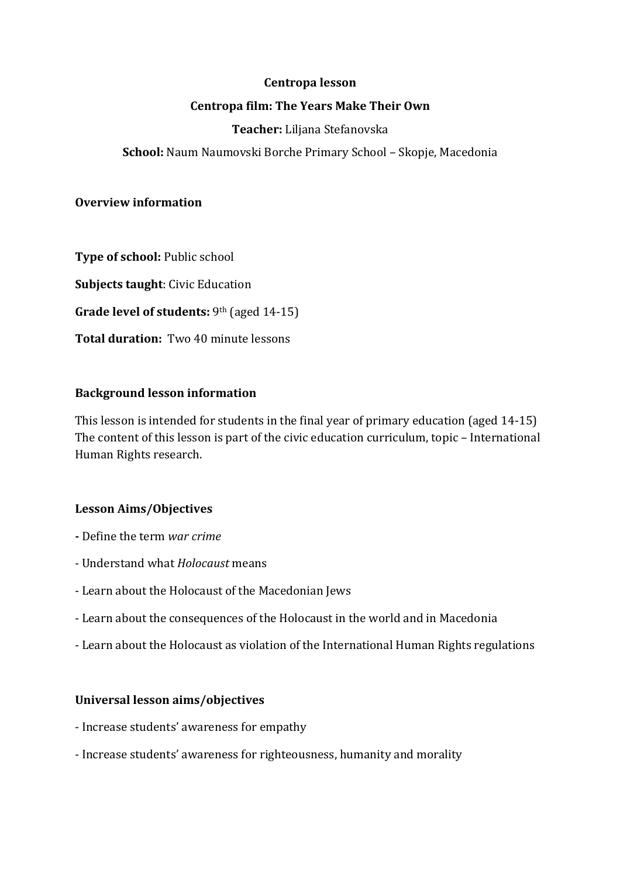## **Centropa lesson**

# **Centropa film: The Years Make Their Own**

# **Teacher:** Liljana Stefanovska

**School:** Naum Naumovski Borche Primary School – Skopje, Macedonia

## **Overview information**

**Type of school:** Public school

**Subjects taught:** Civic Education

**Grade level of students:** 9<sup>th</sup> (aged 14-15)

**Total duration:** Two 40 minute lessons

## **Background lesson information**

This lesson is intended for students in the final year of primary education (aged  $14-15$ ) The content of this lesson is part of the civic education curriculum, topic – International Human Rights research.

## **Lesson Aims/Objectives**

- **-** Define the term *war crime*
- Understand what *Holocaust* means
- Learn about the Holocaust of the Macedonian Jews
- Learn about the consequences of the Holocaust in the world and in Macedonia
- Learn about the Holocaust as violation of the International Human Rights regulations

## **Universal lesson aims/objectives**

- Increase students' awareness for empathy
- Increase students' awareness for righteousness, humanity and morality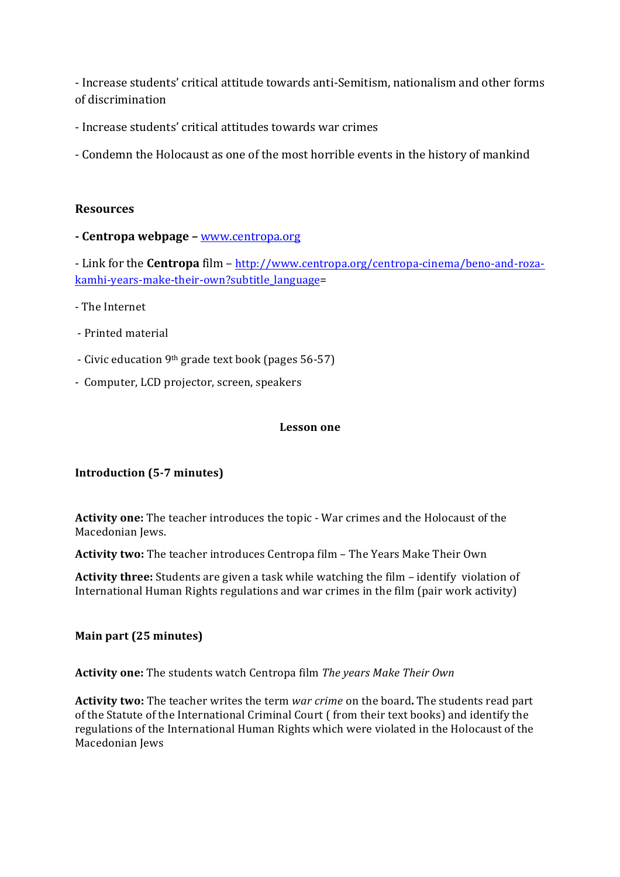- Increase students' critical attitude towards anti-Semitism, nationalism and other forms of discrimination

- Increase students' critical attitudes towards war crimes

- Condemn the Holocaust as one of the most horrible events in the history of mankind

# **Resources**

**- Centropa webpage –** www.centropa.org

- Link for the **Centropa** film – http://www.centropa.org/centropa-cinema/beno-and-rozakamhi-years-make-their-own?subtitle\_language=

- The Internet
- Printed material
- Civic education 9<sup>th</sup> grade text book (pages 56-57)
- Computer, LCD projector, screen, speakers

#### **Lesson one**

## **Introduction** (5-7 minutes)

Activity one: The teacher introduces the topic - War crimes and the Holocaust of the Macedonian Jews.

**Activity two:** The teacher introduces Centropa film - The Years Make Their Own

**Activity three:** Students are given a task while watching the film – identify violation of International Human Rights regulations and war crimes in the film (pair work activity)

## **Main part (25 minutes)**

Activity one: The students watch Centropa film The years Make Their Own

**Activity two:** The teacher writes the term *war crime* on the board. The students read part of the Statute of the International Criminal Court ( from their text books) and identify the regulations of the International Human Rights which were violated in the Holocaust of the Macedonian Jews